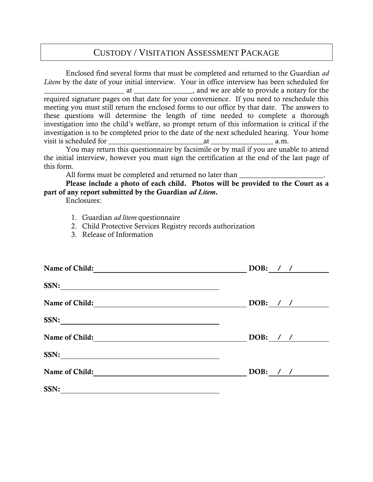# CUSTODY / VISITATION ASSESSMENT PACKAGE

Enclosed find several forms that must be completed and returned to the Guardian *ad Litem* by the date of your initial interview. Your in office interview has been scheduled for at \_\_\_\_\_\_\_\_\_\_\_\_\_\_\_, and we are able to provide a notary for the required signature pages on that date for your convenience. If you need to reschedule this meeting you must still return the enclosed forms to our office by that date. The answers to these questions will determine the length of time needed to complete a thorough investigation into the child's welfare, so prompt return of this information is critical if the investigation is to be completed prior to the date of the next scheduled hearing. Your home visit is scheduled for  $\alpha$ .m.

You may return this questionnaire by facsimile or by mail if you are unable to attend the initial interview, however you must sign the certification at the end of the last page of this form.

All forms must be completed and returned no later than

Please include a photo of each child. Photos will be provided to the Court as a part of any report submitted by the Guardian *ad Litem*.

Enclosures:

- 1. Guardian *ad litem* questionnaire
- 2. Child Protective Services Registry records authorization
- 3. Release of Information

| Name of Child: | DOB: $/$ / |
|----------------|------------|
| SSN:           |            |
| Name of Child: | DOB: $/$ / |
| SSN:           |            |
| Name of Child: | DOB: $/$ / |
| SSN:           |            |
| Name of Child: | DOB: $/$ / |
| SSN:           |            |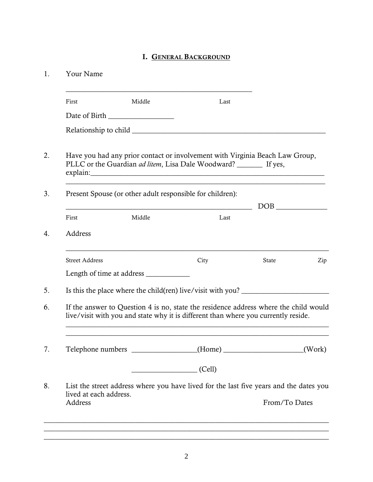## I. GENERAL BACKGROUND

| Your Name              |        |                                                                                                                                                                            |       |        |
|------------------------|--------|----------------------------------------------------------------------------------------------------------------------------------------------------------------------------|-------|--------|
| First                  | Middle | Last                                                                                                                                                                       |       |        |
|                        |        |                                                                                                                                                                            |       |        |
|                        |        |                                                                                                                                                                            |       |        |
|                        |        | Have you had any prior contact or involvement with Virginia Beach Law Group,<br>PLLC or the Guardian ad litem, Lisa Dale Woodward? _______ If yes,                         |       |        |
|                        |        | Present Spouse (or other adult responsible for children):                                                                                                                  |       |        |
|                        |        | <u> 1980 - Johann Barbara, martin d</u>                                                                                                                                    |       |        |
| First                  | Middle | Last                                                                                                                                                                       |       |        |
| Address                |        |                                                                                                                                                                            |       |        |
|                        |        |                                                                                                                                                                            |       |        |
| <b>Street Address</b>  |        | City                                                                                                                                                                       | State | Zip    |
|                        |        |                                                                                                                                                                            |       |        |
|                        |        | Is this the place where the child(ren) live/visit with you?                                                                                                                |       |        |
|                        |        | If the answer to Question 4 is no, state the residence address where the child would<br>live/visit with you and state why it is different than where you currently reside. |       |        |
|                        |        |                                                                                                                                                                            |       | (Work) |
|                        |        | $\qquad \qquad \qquad \text{(Cell)}$                                                                                                                                       |       |        |
| lived at each address. |        | List the street address where you have lived for the last five years and the dates you                                                                                     |       |        |

\_\_\_\_\_\_\_\_\_\_\_\_\_\_\_\_\_\_\_\_\_\_\_\_\_\_\_\_\_\_\_\_\_\_\_\_\_\_\_\_\_\_\_\_\_\_\_\_\_\_\_\_\_\_\_\_\_\_\_\_\_\_\_\_\_\_\_\_\_\_\_\_\_\_\_\_\_\_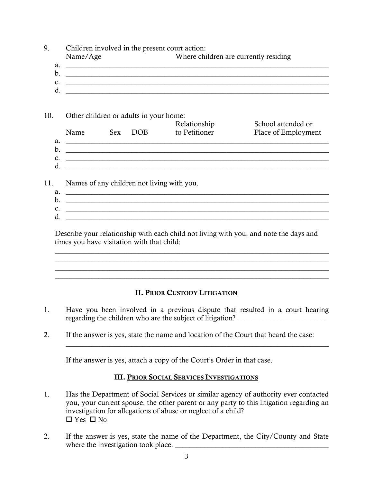| 9.  | Children involved in the present court action:<br>Name/Age                                                                                                                                                                                                              | Where children are currently residing |                                           |
|-----|-------------------------------------------------------------------------------------------------------------------------------------------------------------------------------------------------------------------------------------------------------------------------|---------------------------------------|-------------------------------------------|
| a.  | <u> 1989 - Johann Harry Harry Harry Harry Harry Harry Harry Harry Harry Harry Harry Harry Harry Harry Harry Harry</u>                                                                                                                                                   |                                       |                                           |
|     | $\mathbf{c}$ . $\qquad \qquad$                                                                                                                                                                                                                                          |                                       |                                           |
|     | d.                                                                                                                                                                                                                                                                      |                                       |                                           |
| 10. | Other children or adults in your home:<br>Name Sex DOB                                                                                                                                                                                                                  | Relationship<br>to Petitioner         | School attended or<br>Place of Employment |
|     |                                                                                                                                                                                                                                                                         |                                       |                                           |
|     | b. $\overline{\phantom{a}}$                                                                                                                                                                                                                                             |                                       |                                           |
|     | <b>c.</b> $\qquad \qquad \qquad \qquad$<br>d.                                                                                                                                                                                                                           |                                       |                                           |
| 11. | Names of any children not living with you.                                                                                                                                                                                                                              |                                       |                                           |
|     | $a.$ $\overline{\phantom{a}}$                                                                                                                                                                                                                                           |                                       |                                           |
|     | $\mathcal{C}$ . $\qquad \qquad$                                                                                                                                                                                                                                         |                                       |                                           |
|     | d.                                                                                                                                                                                                                                                                      |                                       |                                           |
|     | Describe your relationship with each child not living with you, and note the days and<br>times you have visitation with that child:                                                                                                                                     |                                       |                                           |
|     | <u> 1999 - Johann John Harry Harry Harry Harry Harry Harry Harry Harry Harry Harry Harry Harry Harry Harry Harry</u>                                                                                                                                                    |                                       |                                           |
|     | <b>II. PRIOR CUSTODY LITIGATION</b>                                                                                                                                                                                                                                     |                                       |                                           |
| 1.  | Have you been involved in a previous dispute that resulted in a court hearing<br>regarding the children who are the subject of litigation?                                                                                                                              |                                       |                                           |
| 2.  | If the answer is yes, state the name and location of the Court that heard the case:                                                                                                                                                                                     |                                       |                                           |
|     | If the answer is yes, attach a copy of the Court's Order in that case.                                                                                                                                                                                                  |                                       |                                           |
|     | <b>III. PRIOR SOCIAL SERVICES INVESTIGATIONS</b>                                                                                                                                                                                                                        |                                       |                                           |
| 1.  | Has the Department of Social Services or similar agency of authority ever contacted<br>you, your current spouse, the other parent or any party to this litigation regarding an<br>investigation for allegations of abuse or neglect of a child?<br>$\Box$ Yes $\Box$ No |                                       |                                           |

2. If the answer is yes, state the name of the Department, the City/County and State where the investigation took place. \_\_\_\_\_\_\_\_\_\_\_\_\_\_\_\_\_\_\_\_\_\_\_\_\_\_\_\_\_\_\_\_\_\_\_\_\_\_\_\_\_\_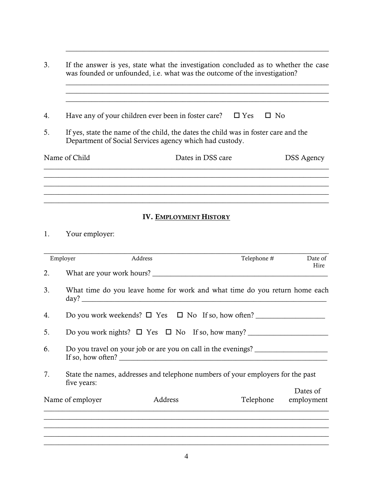| 3. | If the answer is yes, state what the investigation concluded as to whether the case<br>was founded or unfounded, i.e. what was the outcome of the investigation? |                   |  |                   |  |
|----|------------------------------------------------------------------------------------------------------------------------------------------------------------------|-------------------|--|-------------------|--|
| 4. | Have any of your children ever been in foster care? $\square$ Yes                                                                                                |                   |  | □ No              |  |
| 5. | If yes, state the name of the child, the dates the child was in foster care and the<br>Department of Social Services agency which had custody.                   |                   |  |                   |  |
|    | Name of Child                                                                                                                                                    | Dates in DSS care |  | <b>DSS Agency</b> |  |
|    |                                                                                                                                                                  |                   |  |                   |  |
|    |                                                                                                                                                                  |                   |  |                   |  |

 $\_$  , and the set of the set of the set of the set of the set of the set of the set of the set of the set of the set of the set of the set of the set of the set of the set of the set of the set of the set of the set of th

### IV. EMPLOYMENT HISTORY

 $\_$  , and the set of the set of the set of the set of the set of the set of the set of the set of the set of the set of the set of the set of the set of the set of the set of the set of the set of the set of the set of th

# 1. Your employer:

| Employer |                  | Address | Telephone #                                                                                                        | Date of<br>Hire |
|----------|------------------|---------|--------------------------------------------------------------------------------------------------------------------|-----------------|
| 2.       |                  |         |                                                                                                                    |                 |
| 3.       |                  |         | What time do you leave home for work and what time do you return home each                                         |                 |
| 4.       |                  |         | Do you work weekends? $\Box$ Yes $\Box$ No If so, how often?                                                       |                 |
| 5.       |                  |         | Do you work nights? $\square$ Yes $\square$ No If so, how many?                                                    |                 |
| 6.       |                  |         | Do you travel on your job or are you on call in the evenings?<br>If so, how often? $\sqrt{\frac{2}{1-\frac{1}{2}}$ |                 |
| 7.       | five years:      |         | State the names, addresses and telephone numbers of your employers for the past                                    |                 |
|          | Name of employer | Address | Telephone employment                                                                                               | Dates of        |
|          |                  |         |                                                                                                                    |                 |
|          |                  |         |                                                                                                                    |                 |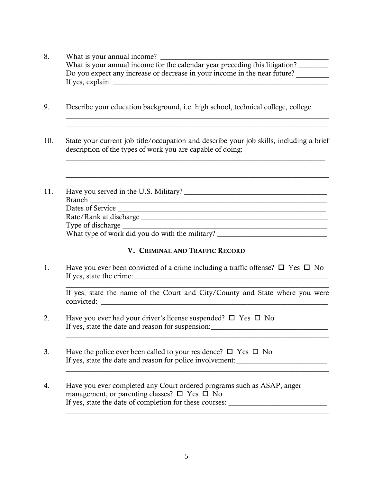- 8. What is your annual income? \_\_\_\_\_\_\_\_\_\_\_\_\_\_\_\_\_\_\_\_\_\_\_\_\_\_\_\_\_\_\_\_\_\_\_\_\_\_\_\_\_\_\_\_\_\_ What is your annual income for the calendar year preceding this litigation? Do you expect any increase or decrease in your income in the near future? If yes, explain: \_\_\_\_\_\_\_\_\_\_\_\_\_\_\_\_\_\_\_\_\_\_\_\_\_\_\_\_\_\_\_\_\_\_\_\_\_\_\_\_\_\_\_\_\_\_\_\_\_\_\_\_\_\_\_\_\_\_\_
- 9. Describe your education background, i.e. high school, technical college, college.
- 10. State your current job title/occupation and describe your job skills, including a brief description of the types of work you are capable of doing:

 $\mathcal{L}_\mathcal{L} = \{ \mathcal{L}_\mathcal{L} = \{ \mathcal{L}_\mathcal{L} = \{ \mathcal{L}_\mathcal{L} = \{ \mathcal{L}_\mathcal{L} = \{ \mathcal{L}_\mathcal{L} = \{ \mathcal{L}_\mathcal{L} = \{ \mathcal{L}_\mathcal{L} = \{ \mathcal{L}_\mathcal{L} = \{ \mathcal{L}_\mathcal{L} = \{ \mathcal{L}_\mathcal{L} = \{ \mathcal{L}_\mathcal{L} = \{ \mathcal{L}_\mathcal{L} = \{ \mathcal{L}_\mathcal{L} = \{ \mathcal{L}_\mathcal{$ 

 $\_$  , and the set of the set of the set of the set of the set of the set of the set of the set of the set of the set of the set of the set of the set of the set of the set of the set of the set of the set of the set of th

 $\_$  , and the set of the set of the set of the set of the set of the set of the set of the set of the set of the set of the set of the set of the set of the set of the set of the set of the set of the set of the set of th  $\mathcal{L}_\text{max}$  , and the set of the set of the set of the set of the set of the set of the set of the set of the set of  $\_$  , and the set of the set of the set of the set of the set of the set of the set of the set of the set of the set of the set of the set of the set of the set of the set of the set of the set of the set of the set of th

11. Have you served in the U.S. Military? \_\_\_\_\_\_\_\_\_\_\_\_\_\_\_\_\_\_\_\_\_\_\_\_\_\_\_\_\_\_\_\_\_\_\_\_\_\_\_ Branch \_\_\_\_\_\_\_\_\_\_\_\_\_\_\_\_\_\_\_\_\_\_\_\_\_\_\_\_\_\_\_\_\_\_\_\_\_\_\_\_\_\_\_\_\_\_\_\_\_\_\_\_\_\_\_\_\_\_\_\_\_\_\_\_\_ Dates of Service \_\_\_\_\_\_\_\_\_\_\_\_\_\_\_\_\_\_\_\_\_\_\_\_\_\_\_\_\_\_\_\_\_\_\_\_\_\_\_\_\_\_\_\_\_\_\_\_\_\_\_\_\_\_\_\_\_ Rate/Rank at discharge \_\_\_\_\_\_\_\_\_\_\_\_\_\_\_\_\_\_\_\_\_\_\_\_\_\_\_\_\_\_\_\_\_\_\_\_\_\_\_\_\_\_\_\_\_\_\_\_\_\_\_ Type of discharge \_\_\_\_\_\_\_\_\_\_\_\_\_\_\_\_\_\_\_\_\_\_\_\_\_\_\_\_\_\_\_\_\_\_\_\_\_\_\_\_\_\_\_\_\_\_\_\_\_\_\_\_\_\_\_\_ What type of work did you do with the military?

### V. CRIMINAL AND TRAFFIC RECORD

1. Have you ever been convicted of a crime including a traffic offense?  $\Box$  Yes  $\Box$  No If yes, state the crime: \_\_\_\_\_\_\_\_\_\_\_\_\_\_\_\_\_\_\_\_\_\_\_\_\_\_\_\_\_\_\_\_\_\_\_\_\_\_\_\_\_\_\_\_\_\_\_\_\_\_\_\_\_

If yes, state the name of the Court and City/County and State where you were convicted:

 $\_$  , and the set of the set of the set of the set of the set of the set of the set of the set of the set of the set of the set of the set of the set of the set of the set of the set of the set of the set of the set of th

 $\_$  , and the set of the set of the set of the set of the set of the set of the set of the set of the set of the set of the set of the set of the set of the set of the set of the set of the set of the set of the set of th

 $\_$  , and the set of the set of the set of the set of the set of the set of the set of the set of the set of the set of the set of the set of the set of the set of the set of the set of the set of the set of the set of th

- 2. Have you ever had your driver's license suspended?  $\square$  Yes  $\square$  No If yes, state the date and reason for suspension:\_\_\_\_\_\_\_\_\_\_\_\_\_\_\_\_\_\_\_\_\_\_\_\_\_\_\_\_\_\_\_
- 3. Have the police ever been called to your residence?  $\Box$  Yes  $\Box$  No If yes, state the date and reason for police involvement:\_\_\_\_\_\_\_\_\_\_\_\_\_\_\_\_\_\_\_\_\_\_\_
- 4. Have you ever completed any Court ordered programs such as ASAP, anger management, or parenting classes?  $\Box$  Yes  $\Box$  No If yes, state the date of completion for these courses: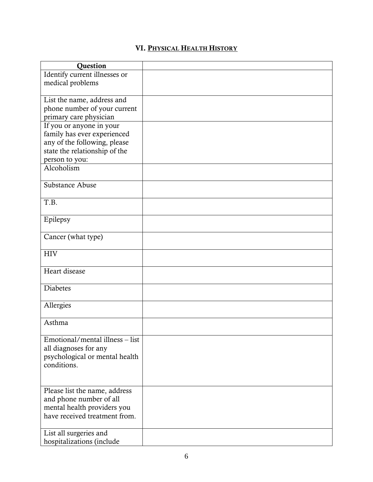## VI. PHYSICAL HEALTH HISTORY

| <b>Ouestion</b>                 |  |
|---------------------------------|--|
| Identify current illnesses or   |  |
| medical problems                |  |
|                                 |  |
| List the name, address and      |  |
| phone number of your current    |  |
| primary care physician          |  |
| If you or anyone in your        |  |
| family has ever experienced     |  |
| any of the following, please    |  |
| state the relationship of the   |  |
| person to you:                  |  |
| Alcoholism                      |  |
|                                 |  |
| Substance Abuse                 |  |
|                                 |  |
| T.B.                            |  |
|                                 |  |
| Epilepsy                        |  |
|                                 |  |
| Cancer (what type)              |  |
|                                 |  |
| <b>HIV</b>                      |  |
|                                 |  |
| Heart disease                   |  |
|                                 |  |
| <b>Diabetes</b>                 |  |
|                                 |  |
| Allergies                       |  |
|                                 |  |
| Asthma                          |  |
|                                 |  |
| Emotional/mental illness – list |  |
| all diagnoses for any           |  |
| psychological or mental health  |  |
| conditions.                     |  |
|                                 |  |
|                                 |  |
| Please list the name, address   |  |
| and phone number of all         |  |
| mental health providers you     |  |
| have received treatment from.   |  |
|                                 |  |
| List all surgeries and          |  |
| hospitalizations (include       |  |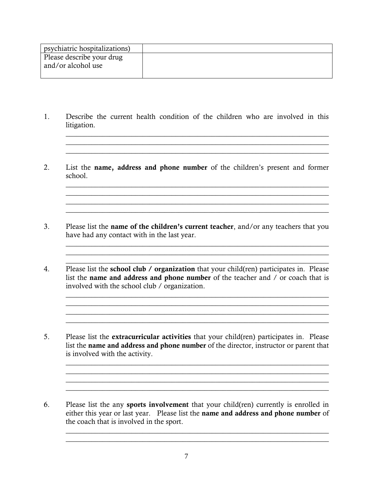| psychiatric hospitalizations)                   |  |
|-------------------------------------------------|--|
| Please describe your drug<br>and/or alcohol use |  |

1. Describe the current health condition of the children who are involved in this litigation.

 $\mathcal{L}_\mathcal{L} = \mathcal{L}_\mathcal{L} = \mathcal{L}_\mathcal{L} = \mathcal{L}_\mathcal{L} = \mathcal{L}_\mathcal{L} = \mathcal{L}_\mathcal{L} = \mathcal{L}_\mathcal{L} = \mathcal{L}_\mathcal{L} = \mathcal{L}_\mathcal{L} = \mathcal{L}_\mathcal{L} = \mathcal{L}_\mathcal{L} = \mathcal{L}_\mathcal{L} = \mathcal{L}_\mathcal{L} = \mathcal{L}_\mathcal{L} = \mathcal{L}_\mathcal{L} = \mathcal{L}_\mathcal{L} = \mathcal{L}_\mathcal{L}$  $\_$  , and the set of the set of the set of the set of the set of the set of the set of the set of the set of the set of the set of the set of the set of the set of the set of the set of the set of the set of the set of th

2. List the name, address and phone number of the children's present and former school.

 $\_$  , and the set of the set of the set of the set of the set of the set of the set of the set of the set of the set of the set of the set of the set of the set of the set of the set of the set of the set of the set of th \_\_\_\_\_\_\_\_\_\_\_\_\_\_\_\_\_\_\_\_\_\_\_\_\_\_\_\_\_\_\_\_\_\_\_\_\_\_\_\_\_\_\_\_\_\_\_\_\_\_\_\_\_\_\_\_\_\_\_\_\_\_\_\_\_\_\_\_\_\_\_\_  $\_$  , and the set of the set of the set of the set of the set of the set of the set of the set of the set of the set of the set of the set of the set of the set of the set of the set of the set of the set of the set of th  $\_$  , and the set of the set of the set of the set of the set of the set of the set of the set of the set of the set of the set of the set of the set of the set of the set of the set of the set of the set of the set of th

 $\mathcal{L}_\mathcal{L} = \{ \mathcal{L}_\mathcal{L} = \{ \mathcal{L}_\mathcal{L} = \{ \mathcal{L}_\mathcal{L} = \{ \mathcal{L}_\mathcal{L} = \{ \mathcal{L}_\mathcal{L} = \{ \mathcal{L}_\mathcal{L} = \{ \mathcal{L}_\mathcal{L} = \{ \mathcal{L}_\mathcal{L} = \{ \mathcal{L}_\mathcal{L} = \{ \mathcal{L}_\mathcal{L} = \{ \mathcal{L}_\mathcal{L} = \{ \mathcal{L}_\mathcal{L} = \{ \mathcal{L}_\mathcal{L} = \{ \mathcal{L}_\mathcal{$  $\_$  , and the set of the set of the set of the set of the set of the set of the set of the set of the set of the set of the set of the set of the set of the set of the set of the set of the set of the set of the set of th  $\_$  , and the set of the set of the set of the set of the set of the set of the set of the set of the set of the set of the set of the set of the set of the set of the set of the set of the set of the set of the set of th

 $\mathcal{L}_\text{max} = \frac{1}{2} \sum_{i=1}^{n} \frac{1}{2} \sum_{i=1}^{n} \frac{1}{2} \sum_{i=1}^{n} \frac{1}{2} \sum_{i=1}^{n} \frac{1}{2} \sum_{i=1}^{n} \frac{1}{2} \sum_{i=1}^{n} \frac{1}{2} \sum_{i=1}^{n} \frac{1}{2} \sum_{i=1}^{n} \frac{1}{2} \sum_{i=1}^{n} \frac{1}{2} \sum_{i=1}^{n} \frac{1}{2} \sum_{i=1}^{n} \frac{1}{2} \sum_{i=1}^{n} \frac{1$ 

- 3. Please list the name of the children's current teacher, and/or any teachers that you have had any contact with in the last year.
- 4. Please list the school club / organization that your child(ren) participates in. Please list the name and address and phone number of the teacher and / or coach that is involved with the school club / organization.
- 5. Please list the extracurricular activities that your child(ren) participates in. Please list the name and address and phone number of the director, instructor or parent that is involved with the activity.

 $\_$  , and the set of the set of the set of the set of the set of the set of the set of the set of the set of the set of the set of the set of the set of the set of the set of the set of the set of the set of the set of th

 $\_$  , and the set of the set of the set of the set of the set of the set of the set of the set of the set of the set of the set of the set of the set of the set of the set of the set of the set of the set of the set of th

 $\_$  , and the set of the set of the set of the set of the set of the set of the set of the set of the set of the set of the set of the set of the set of the set of the set of the set of the set of the set of the set of th  $\_$  , and the set of the set of the set of the set of the set of the set of the set of the set of the set of the set of the set of the set of the set of the set of the set of the set of the set of the set of the set of th

 $\mathcal{L}_\mathcal{L} = \mathcal{L}_\mathcal{L} = \mathcal{L}_\mathcal{L} = \mathcal{L}_\mathcal{L} = \mathcal{L}_\mathcal{L} = \mathcal{L}_\mathcal{L} = \mathcal{L}_\mathcal{L} = \mathcal{L}_\mathcal{L} = \mathcal{L}_\mathcal{L} = \mathcal{L}_\mathcal{L} = \mathcal{L}_\mathcal{L} = \mathcal{L}_\mathcal{L} = \mathcal{L}_\mathcal{L} = \mathcal{L}_\mathcal{L} = \mathcal{L}_\mathcal{L} = \mathcal{L}_\mathcal{L} = \mathcal{L}_\mathcal{L}$  $\_$  , and the state of the state of the state of the state of the state of the state of the state of the state of the state of the state of the state of the state of the state of the state of the state of the state of the

6. Please list the any sports involvement that your child(ren) currently is enrolled in either this year or last year. Please list the name and address and phone number of the coach that is involved in the sport.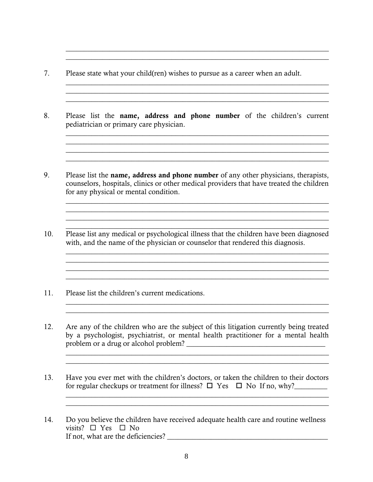- 7. Please state what your child(ren) wishes to pursue as a career when an adult.
- 8. Please list the name, address and phone number of the children's current pediatrician or primary care physician.

 $\_$  , and the set of the set of the set of the set of the set of the set of the set of the set of the set of the set of the set of the set of the set of the set of the set of the set of the set of the set of the set of th

 $\mathcal{L}_\mathcal{L} = \mathcal{L}_\mathcal{L} = \mathcal{L}_\mathcal{L} = \mathcal{L}_\mathcal{L} = \mathcal{L}_\mathcal{L} = \mathcal{L}_\mathcal{L} = \mathcal{L}_\mathcal{L} = \mathcal{L}_\mathcal{L} = \mathcal{L}_\mathcal{L} = \mathcal{L}_\mathcal{L} = \mathcal{L}_\mathcal{L} = \mathcal{L}_\mathcal{L} = \mathcal{L}_\mathcal{L} = \mathcal{L}_\mathcal{L} = \mathcal{L}_\mathcal{L} = \mathcal{L}_\mathcal{L} = \mathcal{L}_\mathcal{L}$ 

 $\mathcal{L}_\mathcal{L} = \mathcal{L}_\mathcal{L} = \mathcal{L}_\mathcal{L} = \mathcal{L}_\mathcal{L} = \mathcal{L}_\mathcal{L} = \mathcal{L}_\mathcal{L} = \mathcal{L}_\mathcal{L} = \mathcal{L}_\mathcal{L} = \mathcal{L}_\mathcal{L} = \mathcal{L}_\mathcal{L} = \mathcal{L}_\mathcal{L} = \mathcal{L}_\mathcal{L} = \mathcal{L}_\mathcal{L} = \mathcal{L}_\mathcal{L} = \mathcal{L}_\mathcal{L} = \mathcal{L}_\mathcal{L} = \mathcal{L}_\mathcal{L}$  $\mathcal{L}_\mathcal{L} = \mathcal{L}_\mathcal{L} = \mathcal{L}_\mathcal{L} = \mathcal{L}_\mathcal{L} = \mathcal{L}_\mathcal{L} = \mathcal{L}_\mathcal{L} = \mathcal{L}_\mathcal{L} = \mathcal{L}_\mathcal{L} = \mathcal{L}_\mathcal{L} = \mathcal{L}_\mathcal{L} = \mathcal{L}_\mathcal{L} = \mathcal{L}_\mathcal{L} = \mathcal{L}_\mathcal{L} = \mathcal{L}_\mathcal{L} = \mathcal{L}_\mathcal{L} = \mathcal{L}_\mathcal{L} = \mathcal{L}_\mathcal{L}$  $\_$  , and the set of the set of the set of the set of the set of the set of the set of the set of the set of the set of the set of the set of the set of the set of the set of the set of the set of the set of the set of th

 $\_$  , and the set of the set of the set of the set of the set of the set of the set of the set of the set of the set of the set of the set of the set of the set of the set of the set of the set of the set of the set of th

 $\_$  , and the set of the set of the set of the set of the set of the set of the set of the set of the set of the set of the set of the set of the set of the set of the set of the set of the set of the set of the set of th

 $\_$  , and the set of the set of the set of the set of the set of the set of the set of the set of the set of the set of the set of the set of the set of the set of the set of the set of the set of the set of the set of th

 $\_$  , and the set of the set of the set of the set of the set of the set of the set of the set of the set of the set of the set of the set of the set of the set of the set of the set of the set of the set of the set of th

 $\mathcal{L}_\mathcal{L} = \{ \mathcal{L}_\mathcal{L} = \{ \mathcal{L}_\mathcal{L} = \{ \mathcal{L}_\mathcal{L} = \{ \mathcal{L}_\mathcal{L} = \{ \mathcal{L}_\mathcal{L} = \{ \mathcal{L}_\mathcal{L} = \{ \mathcal{L}_\mathcal{L} = \{ \mathcal{L}_\mathcal{L} = \{ \mathcal{L}_\mathcal{L} = \{ \mathcal{L}_\mathcal{L} = \{ \mathcal{L}_\mathcal{L} = \{ \mathcal{L}_\mathcal{L} = \{ \mathcal{L}_\mathcal{L} = \{ \mathcal{L}_\mathcal{$ 

 $\_$  ,  $\_$  ,  $\_$  ,  $\_$  ,  $\_$  ,  $\_$  ,  $\_$  ,  $\_$  ,  $\_$  ,  $\_$  ,  $\_$  ,  $\_$  ,  $\_$  ,  $\_$  ,  $\_$  ,  $\_$  ,  $\_$  ,  $\_$  ,  $\_$  ,  $\_$  ,  $\_$  ,  $\_$  ,  $\_$  ,  $\_$  ,  $\_$  ,  $\_$  ,  $\_$  ,  $\_$  ,  $\_$  ,  $\_$  ,  $\_$  ,  $\_$  ,  $\_$  ,  $\_$  ,  $\_$  ,  $\_$  ,  $\_$  ,

- 9. Please list the name, address and phone number of any other physicians, therapists, counselors, hospitals, clinics or other medical providers that have treated the children for any physical or mental condition.
- 10. Please list any medical or psychological illness that the children have been diagnosed with, and the name of the physician or counselor that rendered this diagnosis.
- 11. Please list the children's current medications.
- 12. Are any of the children who are the subject of this litigation currently being treated by a psychologist, psychiatrist, or mental health practitioner for a mental health problem or a drug or alcohol problem? \_\_\_\_\_\_\_\_\_\_\_\_\_\_\_\_\_\_\_\_\_\_\_\_\_\_\_\_\_\_\_\_\_\_\_\_\_\_
- 13. Have you ever met with the children's doctors, or taken the children to their doctors for regular checkups or treatment for illness?  $\Box$  Yes  $\Box$  No If no, why?

 $\_$  , and the set of the set of the set of the set of the set of the set of the set of the set of the set of the set of the set of the set of the set of the set of the set of the set of the set of the set of the set of th  $\_$  , and the set of the set of the set of the set of the set of the set of the set of the set of the set of the set of the set of the set of the set of the set of the set of the set of the set of the set of the set of th

 $\frac{1}{2}$  , and the set of the set of the set of the set of the set of the set of the set of the set of the set of the set of the set of the set of the set of the set of the set of the set of the set of the set of the set

14. Do you believe the children have received adequate health care and routine wellness visits?  $\Box$  Yes  $\Box$  No If not, what are the deficiencies?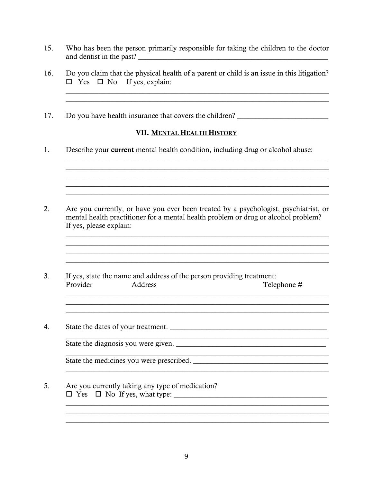- 15. Who has been the person primarily responsible for taking the children to the doctor
- 16. Do you claim that the physical health of a parent or child is an issue in this litigation?  $\Box$  Yes  $\Box$  No If yes, explain:

<u> 1989 - Johann Barbara, markazi bashkar a shekara ta 1989 - André a shekara ta 1989 - André a shekara ta 1989</u>

17. Do you have health insurance that covers the children?

### VII. MENTAL HEALTH HISTORY

<u> 1989 - Andrea Stadt Britain, amerikan berlandar beste beste beste beste beste beste beste beste beste beste b</u>

1. Describe your current mental health condition, including drug or alcohol abuse:

- $2.$ Are you currently, or have you ever been treated by a psychologist, psychiatrist, or mental health practitioner for a mental health problem or drug or alcohol problem? If yes, please explain:
- $3<sub>1</sub>$ If yes, state the name and address of the person providing treatment: Provider Address Telephone #

<u> 1989 - Johann Stoff, amerikansk politiker (d. 1989)</u>

 $\overline{4}$ . 

State the medicines you were prescribed.

<u> 1980 - Johann Barn, marwolaethau a bhann an t-Alban an t-Alban an t-Alban an t-Alban an t-Alban an t-Alban a</u>

 $5<sub>1</sub>$ Are you currently taking any type of medication?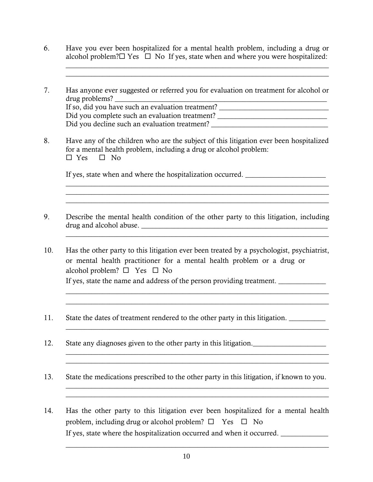6. Have you ever been hospitalized for a mental health problem, including a drug or alcohol problem? $\square$  Yes  $\square$  No If yes, state when and where you were hospitalized:

 $\_$  , and the set of the set of the set of the set of the set of the set of the set of the set of the set of the set of the set of the set of the set of the set of the set of the set of the set of the set of the set of th  $\_$  , and the set of the set of the set of the set of the set of the set of the set of the set of the set of the set of the set of the set of the set of the set of the set of the set of the set of the set of the set of th

- 7. Has anyone ever suggested or referred you for evaluation on treatment for alcohol or drug problems? If so, did you have such an evaluation treatment? Did you complete such an evaluation treatment? Did you decline such an evaluation treatment?
- 8. Have any of the children who are the subject of this litigation ever been hospitalized for a mental health problem, including a drug or alcohol problem:  $\Box$  Yes  $\Box$  No

 $\mathcal{L} = \{ \mathcal{L} = \{ \mathcal{L} \} \cup \{ \mathcal{L} \} \cup \{ \mathcal{L} \} \cup \{ \mathcal{L} \} \cup \{ \mathcal{L} \} \cup \{ \mathcal{L} \} \cup \{ \mathcal{L} \} \cup \{ \mathcal{L} \} \cup \{ \mathcal{L} \} \cup \{ \mathcal{L} \} \cup \{ \mathcal{L} \} \cup \{ \mathcal{L} \} \cup \{ \mathcal{L} \} \cup \{ \mathcal{L} \} \cup \{ \mathcal{L} \} \cup \{ \mathcal{L} \} \cup \{ \mathcal{L} \} \cup$  $\_$  , and the set of the set of the set of the set of the set of the set of the set of the set of the set of the set of the set of the set of the set of the set of the set of the set of the set of the set of the set of th  $\_$  , and the set of the set of the set of the set of the set of the set of the set of the set of the set of the set of the set of the set of the set of the set of the set of the set of the set of the set of the set of th

If yes, state when and where the hospitalization occurred.

- 9. Describe the mental health condition of the other party to this litigation, including drug and alcohol abuse. \_\_\_\_\_\_\_\_\_\_\_\_\_\_\_\_\_\_\_\_\_\_\_\_\_\_\_\_\_\_\_\_\_\_\_\_\_\_\_\_\_\_\_\_\_\_\_\_\_\_\_ \_\_\_\_\_\_\_\_\_\_\_\_\_\_\_\_\_\_\_\_\_\_\_\_\_\_\_\_\_\_\_\_\_\_\_\_\_\_\_\_\_\_\_\_\_\_\_\_\_\_\_\_\_\_\_\_\_\_\_\_\_\_\_\_\_\_\_\_\_\_\_\_
- 10. Has the other party to this litigation ever been treated by a psychologist, psychiatrist, or mental health practitioner for a mental health problem or a drug or alcohol problem?  $\Box$  Yes  $\Box$  No If yes, state the name and address of the person providing treatment.

 $\_$  , and the set of the set of the set of the set of the set of the set of the set of the set of the set of the set of the set of the set of the set of the set of the set of the set of the set of the set of the set of th

 $\_$  , and the set of the set of the set of the set of the set of the set of the set of the set of the set of the set of the set of the set of the set of the set of the set of the set of the set of the set of the set of th

 $\_$  , and the set of the set of the set of the set of the set of the set of the set of the set of the set of the set of the set of the set of the set of the set of the set of the set of the set of the set of the set of th

 $\_$  , and the set of the set of the set of the set of the set of the set of the set of the set of the set of the set of the set of the set of the set of the set of the set of the set of the set of the set of the set of th

 $\frac{1}{2}$  ,  $\frac{1}{2}$  ,  $\frac{1}{2}$  ,  $\frac{1}{2}$  ,  $\frac{1}{2}$  ,  $\frac{1}{2}$  ,  $\frac{1}{2}$  ,  $\frac{1}{2}$  ,  $\frac{1}{2}$  ,  $\frac{1}{2}$  ,  $\frac{1}{2}$  ,  $\frac{1}{2}$  ,  $\frac{1}{2}$  ,  $\frac{1}{2}$  ,  $\frac{1}{2}$  ,  $\frac{1}{2}$  ,  $\frac{1}{2}$  ,  $\frac{1}{2}$  ,  $\frac{1$ 

- 11. State the dates of treatment rendered to the other party in this litigation.
- 12. State any diagnoses given to the other party in this litigation.
- 13. State the medications prescribed to the other party in this litigation, if known to you.
- 14. Has the other party to this litigation ever been hospitalized for a mental health problem, including drug or alcohol problem?  $\Box$  Yes  $\Box$  No If yes, state where the hospitalization occurred and when it occurred. \_\_\_\_\_\_\_\_\_\_

 $\_$  , and the set of the set of the set of the set of the set of the set of the set of the set of the set of the set of the set of the set of the set of the set of the set of the set of the set of the set of the set of th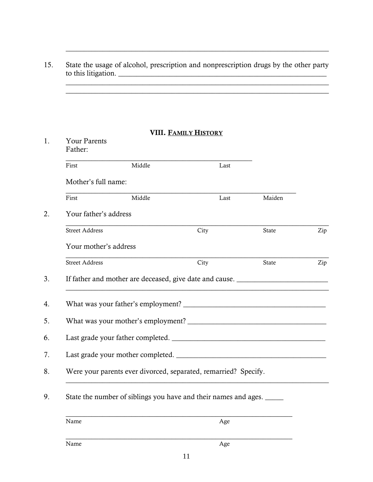### 15. State the usage of alcohol, prescription and nonprescription drugs by the other party to this litigation.  $\frac{1}{2}$  ,  $\frac{1}{2}$  ,  $\frac{1}{2}$  ,  $\frac{1}{2}$  ,  $\frac{1}{2}$  ,  $\frac{1}{2}$  ,  $\frac{1}{2}$  ,  $\frac{1}{2}$  ,  $\frac{1}{2}$  ,  $\frac{1}{2}$  ,  $\frac{1}{2}$  ,  $\frac{1}{2}$  ,  $\frac{1}{2}$  ,  $\frac{1}{2}$  ,  $\frac{1}{2}$  ,  $\frac{1}{2}$  ,  $\frac{1}{2}$  ,  $\frac{1}{2}$  ,  $\frac{1$

 $\_$  , and the set of the set of the set of the set of the set of the set of the set of the set of the set of the set of the set of the set of the set of the set of the set of the set of the set of the set of the set of th

#### VIII. FAMILY HISTORY

| <b>Your Parents</b><br>Father: |                                                                                  |      |        |     |
|--------------------------------|----------------------------------------------------------------------------------|------|--------|-----|
| First                          | Middle                                                                           | Last |        |     |
| Mother's full name:            |                                                                                  |      |        |     |
| First                          | Middle                                                                           | Last | Maiden |     |
| Your father's address          |                                                                                  |      |        |     |
| <b>Street Address</b>          |                                                                                  | City | State  | Zip |
| Your mother's address          |                                                                                  |      |        |     |
| <b>Street Address</b>          |                                                                                  | City | State  | Zip |
|                                | If father and mother are deceased, give date and cause. ________________________ |      |        |     |
|                                |                                                                                  |      |        |     |
|                                |                                                                                  |      |        |     |
|                                |                                                                                  |      |        |     |
|                                |                                                                                  |      |        |     |
|                                | Were your parents ever divorced, separated, remarried? Specify.                  |      |        |     |
|                                | State the number of siblings you have and their names and ages.                  |      |        |     |
| Name                           |                                                                                  | Age  |        |     |
| Name                           |                                                                                  | Age  |        |     |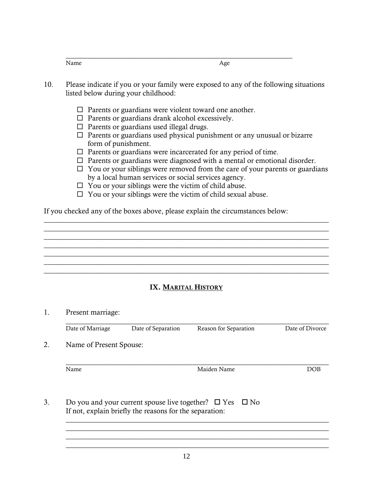| $\mathbf{v}$ |  |
|--------------|--|

- 10. Please indicate if you or your family were exposed to any of the following situations listed below during your childhood:
	- $\Box$  Parents or guardians were violent toward one another.
	- $\Box$  Parents or guardians drank alcohol excessively.
	- $\Box$  Parents or guardians used illegal drugs.
	- $\Box$  Parents or guardians used physical punishment or any unusual or bizarre form of punishment.
	- $\Box$  Parents or guardians were incarcerated for any period of time.
	- $\Box$  Parents or guardians were diagnosed with a mental or emotional disorder.
	- $\Box$  You or your siblings were removed from the care of your parents or guardians by a local human services or social services agency.
	- $\Box$  You or your siblings were the victim of child abuse.
	- $\Box$  You or your siblings were the victim of child sexual abuse.

If you checked any of the boxes above, please explain the circumstances below:

### IX. MARITAL HISTORY

\_\_\_\_\_\_\_\_\_\_\_\_\_\_\_\_\_\_\_\_\_\_\_\_\_\_\_\_\_\_\_\_\_\_\_\_\_\_\_\_\_\_\_\_\_\_\_\_\_\_\_\_\_\_\_\_\_\_\_\_\_\_\_\_\_\_\_\_\_\_\_\_\_\_\_\_\_\_ \_\_\_\_\_\_\_\_\_\_\_\_\_\_\_\_\_\_\_\_\_\_\_\_\_\_\_\_\_\_\_\_\_\_\_\_\_\_\_\_\_\_\_\_\_\_\_\_\_\_\_\_\_\_\_\_\_\_\_\_\_\_\_\_\_\_\_\_\_\_\_\_\_\_\_\_\_\_

 $\_$  , and the set of the set of the set of the set of the set of the set of the set of the set of the set of the set of the set of the set of the set of the set of the set of the set of the set of the set of the set of th  $\_$  , and the set of the set of the set of the set of the set of the set of the set of the set of the set of the set of the set of the set of the set of the set of the set of the set of the set of the set of the set of th  $\_$  , and the set of the set of the set of the set of the set of the set of the set of the set of the set of the set of the set of the set of the set of the set of the set of the set of the set of the set of the set of th \_\_\_\_\_\_\_\_\_\_\_\_\_\_\_\_\_\_\_\_\_\_\_\_\_\_\_\_\_\_\_\_\_\_\_\_\_\_\_\_\_\_\_\_\_\_\_\_\_\_\_\_\_\_\_\_\_\_\_\_\_\_\_\_\_\_\_\_\_\_\_\_\_\_\_\_\_\_

| 1. | Present marriage:       |                                                         |                                                                    |                 |
|----|-------------------------|---------------------------------------------------------|--------------------------------------------------------------------|-----------------|
|    | Date of Marriage        | Date of Separation                                      | Reason for Separation                                              | Date of Divorce |
| 2. | Name of Present Spouse: |                                                         |                                                                    |                 |
|    | Name                    |                                                         | Maiden Name                                                        | DOB             |
| 3. |                         | If not, explain briefly the reasons for the separation: | Do you and your current spouse live together? $\Box$ Yes $\Box$ No |                 |

 $\_$  , and the set of the set of the set of the set of the set of the set of the set of the set of the set of the set of the set of the set of the set of the set of the set of the set of the set of the set of the set of th  $\_$  , and the set of the set of the set of the set of the set of the set of the set of the set of the set of the set of the set of the set of the set of the set of the set of the set of the set of the set of the set of th  $\_$  , and the set of the set of the set of the set of the set of the set of the set of the set of the set of the set of the set of the set of the set of the set of the set of the set of the set of the set of the set of th  $\_$  , and the set of the set of the set of the set of the set of the set of the set of the set of the set of the set of the set of the set of the set of the set of the set of the set of the set of the set of the set of th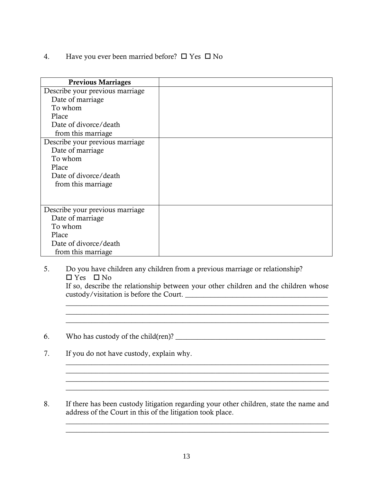4. Have you ever been married before?  $\Box$  Yes  $\Box$  No

| <b>Previous Marriages</b>       |  |
|---------------------------------|--|
| Describe your previous marriage |  |
| Date of marriage                |  |
| To whom                         |  |
| Place                           |  |
| Date of divorce/death           |  |
| from this marriage              |  |
| Describe your previous marriage |  |
| Date of marriage                |  |
| To whom                         |  |
| Place                           |  |
| Date of divorce/death           |  |
| from this marriage.             |  |
|                                 |  |
|                                 |  |
| Describe your previous marriage |  |
| Date of marriage                |  |
| To whom                         |  |
| Place                           |  |
| Date of divorce/death           |  |
| from this marriage.             |  |

5. Do you have children any children from a previous marriage or relationship?  $\Box$  Yes  $\Box$  No

If so, describe the relationship between your other children and the children whose custody/visitation is before the Court. \_\_\_\_\_\_\_\_\_\_\_\_\_\_\_\_\_\_\_\_\_\_\_\_\_\_\_\_\_\_\_\_\_\_\_\_\_\_\_

 $\mathcal{L}_\text{max} = \frac{1}{2} \sum_{i=1}^{n} \frac{1}{2} \sum_{i=1}^{n} \frac{1}{2} \sum_{i=1}^{n} \frac{1}{2} \sum_{i=1}^{n} \frac{1}{2} \sum_{i=1}^{n} \frac{1}{2} \sum_{i=1}^{n} \frac{1}{2} \sum_{i=1}^{n} \frac{1}{2} \sum_{i=1}^{n} \frac{1}{2} \sum_{i=1}^{n} \frac{1}{2} \sum_{i=1}^{n} \frac{1}{2} \sum_{i=1}^{n} \frac{1}{2} \sum_{i=1}^{n} \frac{1$ 

 $\mathcal{L}_\mathcal{L} = \{ \mathcal{L}_\mathcal{L} = \{ \mathcal{L}_\mathcal{L} = \{ \mathcal{L}_\mathcal{L} = \{ \mathcal{L}_\mathcal{L} = \{ \mathcal{L}_\mathcal{L} = \{ \mathcal{L}_\mathcal{L} = \{ \mathcal{L}_\mathcal{L} = \{ \mathcal{L}_\mathcal{L} = \{ \mathcal{L}_\mathcal{L} = \{ \mathcal{L}_\mathcal{L} = \{ \mathcal{L}_\mathcal{L} = \{ \mathcal{L}_\mathcal{L} = \{ \mathcal{L}_\mathcal{L} = \{ \mathcal{L}_\mathcal{$ 

 $\_$  , and the set of the set of the set of the set of the set of the set of the set of the set of the set of the set of the set of the set of the set of the set of the set of the set of the set of the set of the set of th  $\_$  , and the set of the set of the set of the set of the set of the set of the set of the set of the set of the set of the set of the set of the set of the set of the set of the set of the set of the set of the set of th

 $\mathcal{L} = \{ \mathcal{L} = \{ \mathcal{L} \} \cup \{ \mathcal{L} = \{ \mathcal{L} \} \cup \{ \mathcal{L} = \{ \mathcal{L} \} \cup \{ \mathcal{L} = \{ \mathcal{L} \} \cup \{ \mathcal{L} = \{ \mathcal{L} \} \cup \{ \mathcal{L} = \{ \mathcal{L} \} \cup \{ \mathcal{L} = \{ \mathcal{L} \} \cup \{ \mathcal{L} = \{ \mathcal{L} \} \cup \{ \mathcal{L} = \{ \mathcal{L} \} \cup \{ \mathcal{L} = \{ \mathcal{L} \} \cup \{ \$ 

- 6. Who has custody of the child(ren)? \_\_\_\_\_\_\_\_\_\_\_\_\_\_\_\_\_\_\_\_\_\_\_\_\_\_\_\_\_\_\_\_\_\_\_\_\_\_\_\_\_
- 7. If you do not have custody, explain why.
- 8. If there has been custody litigation regarding your other children, state the name and address of the Court in this of the litigation took place.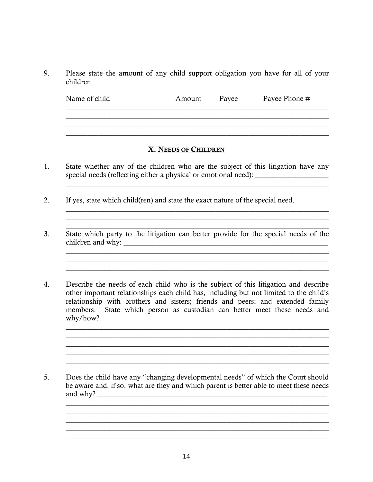9. Please state the amount of any child support obligation you have for all of your children.

| Name of child | Amount | Payee | Payee Phone # |
|---------------|--------|-------|---------------|
|               |        |       |               |

 $\_$  , and the set of the set of the set of the set of the set of the set of the set of the set of the set of the set of the set of the set of the set of the set of the set of the set of the set of the set of the set of th

 $\_$  , and the contribution of the contribution of  $\mathcal{L}_\mathcal{A}$  , and the contribution of  $\mathcal{L}_\mathcal{A}$  , and the contribution of  $\mathcal{L}_\mathcal{A}$  $\_$  , and the set of the set of the set of the set of the set of the set of the set of the set of the set of the set of the set of the set of the set of the set of the set of the set of the set of the set of the set of th  $\_$  , and the set of the set of the set of the set of the set of the set of the set of the set of the set of the set of the set of the set of the set of the set of the set of the set of the set of the set of the set of th

 $\mathcal{L}_\text{max}$  , and the contribution of the contribution of the contribution of the contribution of the contribution of the contribution of the contribution of the contribution of the contribution of the contribution of t

### X. NEEDS OF CHILDREN

- 1. State whether any of the children who are the subject of this litigation have any special needs (reflecting either a physical or emotional need): \_\_\_\_\_\_\_\_\_\_\_\_\_\_\_\_\_ \_\_\_\_\_\_\_\_\_\_\_\_\_\_\_\_\_\_\_\_\_\_\_\_\_\_\_\_\_\_\_\_\_\_\_\_\_\_\_\_\_\_\_\_\_\_\_\_\_\_\_\_\_\_\_\_\_\_\_\_\_\_\_\_\_\_\_\_\_\_\_\_
- 2. If yes, state which child(ren) and state the exact nature of the special need.
- 3. State which party to the litigation can better provide for the special needs of the children and why: \_\_\_\_\_\_\_\_\_\_\_\_\_\_\_\_\_\_\_\_\_\_\_\_\_\_\_\_\_\_\_\_\_\_\_\_\_\_\_\_\_\_\_\_\_\_\_\_\_\_\_\_\_\_\_\_

 $\_$  , and the set of the set of the set of the set of the set of the set of the set of the set of the set of the set of the set of the set of the set of the set of the set of the set of the set of the set of the set of th  $\_$  , and the set of the set of the set of the set of the set of the set of the set of the set of the set of the set of the set of the set of the set of the set of the set of the set of the set of the set of the set of th

 $\mathcal{L}_\mathcal{L} = \{ \mathcal{L}_\mathcal{L} = \{ \mathcal{L}_\mathcal{L} = \{ \mathcal{L}_\mathcal{L} = \{ \mathcal{L}_\mathcal{L} = \{ \mathcal{L}_\mathcal{L} = \{ \mathcal{L}_\mathcal{L} = \{ \mathcal{L}_\mathcal{L} = \{ \mathcal{L}_\mathcal{L} = \{ \mathcal{L}_\mathcal{L} = \{ \mathcal{L}_\mathcal{L} = \{ \mathcal{L}_\mathcal{L} = \{ \mathcal{L}_\mathcal{L} = \{ \mathcal{L}_\mathcal{L} = \{ \mathcal{L}_\mathcal{$  $\_$  , and the set of the set of the set of the set of the set of the set of the set of the set of the set of the set of the set of the set of the set of the set of the set of the set of the set of the set of the set of th  $\mathcal{L}_\mathcal{L} = \mathcal{L}_\mathcal{L} = \mathcal{L}_\mathcal{L} = \mathcal{L}_\mathcal{L} = \mathcal{L}_\mathcal{L} = \mathcal{L}_\mathcal{L} = \mathcal{L}_\mathcal{L} = \mathcal{L}_\mathcal{L} = \mathcal{L}_\mathcal{L} = \mathcal{L}_\mathcal{L} = \mathcal{L}_\mathcal{L} = \mathcal{L}_\mathcal{L} = \mathcal{L}_\mathcal{L} = \mathcal{L}_\mathcal{L} = \mathcal{L}_\mathcal{L} = \mathcal{L}_\mathcal{L} = \mathcal{L}_\mathcal{L}$ 

 $\_$  , and the set of the set of the set of the set of the set of the set of the set of the set of the set of the set of the set of the set of the set of the set of the set of the set of the set of the set of the set of th

 $\_$  , and the set of the set of the set of the set of the set of the set of the set of the set of the set of the set of the set of the set of the set of the set of the set of the set of the set of the set of the set of th

 $\_$  , and the set of the set of the set of the set of the set of the set of the set of the set of the set of the set of the set of the set of the set of the set of the set of the set of the set of the set of the set of th

 $\_$  , and the set of the set of the set of the set of the set of the set of the set of the set of the set of the set of the set of the set of the set of the set of the set of the set of the set of the set of the set of th

4. Describe the needs of each child who is the subject of this litigation and describe other important relationships each child has, including but not limited to the child's relationship with brothers and sisters; friends and peers; and extended family members. State which person as custodian can better meet these needs and why/how? \_\_\_\_\_\_\_\_\_\_\_\_\_\_\_\_\_\_\_\_\_\_\_\_\_\_\_\_\_\_\_\_\_\_\_\_\_\_\_\_\_\_\_\_\_\_\_\_\_\_\_\_\_\_\_\_\_\_\_\_\_\_

5. Does the child have any "changing developmental needs" of which the Court should be aware and, if so, what are they and which parent is better able to meet these needs and why? \_\_\_\_\_\_\_\_\_\_\_\_\_\_\_\_\_\_\_\_\_\_\_\_\_\_\_\_\_\_\_\_\_\_\_\_\_\_\_\_\_\_\_\_\_\_\_\_\_\_\_\_\_\_\_\_\_\_\_\_\_\_\_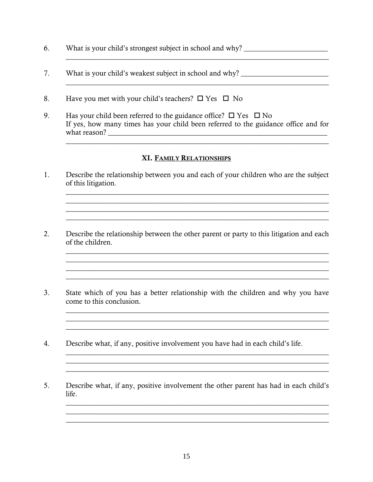- 6. What is your child's strongest subject in school and why? \_\_\_\_\_\_\_\_\_\_\_\_\_\_\_\_\_\_\_\_\_\_\_
- $7.$ What is your child's weakest subject in school and why?
- Have you met with your child's teachers?  $\square$  Yes  $\square$  No 8.
- 9. Has your child been referred to the guidance office?  $\Box$  Yes  $\Box$  No If yes, how many times has your child been referred to the guidance office and for

<u> 1989 - Johann Barbara, martxa</u>

<u> 1989 - Johann Stoff, amerikansk politiker (d. 1989)</u>

### XI. FAMILY RELATIONSHIPS

 $1.$ Describe the relationship between you and each of your children who are the subject of this litigation.

<u> 1989 - Johann Stoff, amerikansk politiker (d. 1989)</u>

<u> 1989 - Johann Stoff, amerikansk politiker (d. 1989)</u>

<u> 1989 - Johann Stoff, amerikansk politiker (d. 1989)</u>

<u> 1989 - Johann Stoff, amerikansk politiker (d. 1989)</u>

<u> 1989 - Johann Stoff, deutscher Stoffen und der Stoffen und der Stoffen und der Stoffen und der Stoffen und de</u>

- 2. Describe the relationship between the other parent or party to this litigation and each of the children.
- State which of you has a better relationship with the children and why you have  $3<sub>1</sub>$ come to this conclusion.

<u> 1989 - Johann Stoff, amerikansk politiker (d. 1989)</u>

- Describe what, if any, positive involvement you have had in each child's life. 4.
- 5. Describe what, if any, positive involvement the other parent has had in each child's life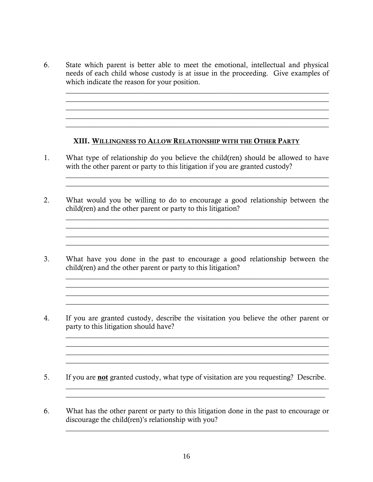6. State which parent is better able to meet the emotional, intellectual and physical needs of each child whose custody is at issue in the proceeding. Give examples of which indicate the reason for your position.

 $\_$  ,  $\_$  ,  $\_$  ,  $\_$  ,  $\_$  ,  $\_$  ,  $\_$  ,  $\_$  ,  $\_$  ,  $\_$  ,  $\_$  ,  $\_$  ,  $\_$  ,  $\_$  ,  $\_$  ,  $\_$  ,  $\_$  ,  $\_$  ,  $\_$  ,  $\_$  ,  $\_$  ,  $\_$  ,  $\_$  ,  $\_$  ,  $\_$  ,  $\_$  ,  $\_$  ,  $\_$  ,  $\_$  ,  $\_$  ,  $\_$  ,  $\_$  ,  $\_$  ,  $\_$  ,  $\_$  ,  $\_$  ,  $\_$  ,

#### XIII. WILLINGNESS TO ALLOW RELATIONSHIP WITH THE OTHER PARTY

 $\mathcal{L}_\mathcal{L} = \mathcal{L}_\mathcal{L} = \mathcal{L}_\mathcal{L} = \mathcal{L}_\mathcal{L} = \mathcal{L}_\mathcal{L} = \mathcal{L}_\mathcal{L} = \mathcal{L}_\mathcal{L} = \mathcal{L}_\mathcal{L} = \mathcal{L}_\mathcal{L} = \mathcal{L}_\mathcal{L} = \mathcal{L}_\mathcal{L} = \mathcal{L}_\mathcal{L} = \mathcal{L}_\mathcal{L} = \mathcal{L}_\mathcal{L} = \mathcal{L}_\mathcal{L} = \mathcal{L}_\mathcal{L} = \mathcal{L}_\mathcal{L}$  $\_$  , and the set of the set of the set of the set of the set of the set of the set of the set of the set of the set of the set of the set of the set of the set of the set of the set of the set of the set of the set of th

1. What type of relationship do you believe the child(ren) should be allowed to have with the other parent or party to this litigation if you are granted custody?

 $\_$  , and the set of the set of the set of the set of the set of the set of the set of the set of the set of the set of the set of the set of the set of the set of the set of the set of the set of the set of the set of th

 $\mathcal{L}_\mathcal{L} = \{ \mathcal{L}_\mathcal{L} = \{ \mathcal{L}_\mathcal{L} = \{ \mathcal{L}_\mathcal{L} = \{ \mathcal{L}_\mathcal{L} = \{ \mathcal{L}_\mathcal{L} = \{ \mathcal{L}_\mathcal{L} = \{ \mathcal{L}_\mathcal{L} = \{ \mathcal{L}_\mathcal{L} = \{ \mathcal{L}_\mathcal{L} = \{ \mathcal{L}_\mathcal{L} = \{ \mathcal{L}_\mathcal{L} = \{ \mathcal{L}_\mathcal{L} = \{ \mathcal{L}_\mathcal{L} = \{ \mathcal{L}_\mathcal{$  $\mathcal{L}_\text{max} = \frac{1}{2} \sum_{i=1}^{n} \frac{1}{2} \sum_{i=1}^{n} \frac{1}{2} \sum_{i=1}^{n} \frac{1}{2} \sum_{i=1}^{n} \frac{1}{2} \sum_{i=1}^{n} \frac{1}{2} \sum_{i=1}^{n} \frac{1}{2} \sum_{i=1}^{n} \frac{1}{2} \sum_{i=1}^{n} \frac{1}{2} \sum_{i=1}^{n} \frac{1}{2} \sum_{i=1}^{n} \frac{1}{2} \sum_{i=1}^{n} \frac{1}{2} \sum_{i=1}^{n} \frac{1$ 

 $\mathcal{L}_\text{max}$  , and the contribution of the contribution of the contribution of the contribution of the contribution of the contribution of the contribution of the contribution of the contribution of the contribution of t

 $\mathcal{L}_\mathcal{L} = \mathcal{L}_\mathcal{L} = \mathcal{L}_\mathcal{L} = \mathcal{L}_\mathcal{L} = \mathcal{L}_\mathcal{L} = \mathcal{L}_\mathcal{L} = \mathcal{L}_\mathcal{L} = \mathcal{L}_\mathcal{L} = \mathcal{L}_\mathcal{L} = \mathcal{L}_\mathcal{L} = \mathcal{L}_\mathcal{L} = \mathcal{L}_\mathcal{L} = \mathcal{L}_\mathcal{L} = \mathcal{L}_\mathcal{L} = \mathcal{L}_\mathcal{L} = \mathcal{L}_\mathcal{L} = \mathcal{L}_\mathcal{L}$  $\mathcal{L}_\text{max}$  and  $\mathcal{L}_\text{max}$  and  $\mathcal{L}_\text{max}$  and  $\mathcal{L}_\text{max}$  and  $\mathcal{L}_\text{max}$  and  $\mathcal{L}_\text{max}$  $\mathcal{L}_\mathcal{L} = \mathcal{L}_\mathcal{L} = \mathcal{L}_\mathcal{L} = \mathcal{L}_\mathcal{L} = \mathcal{L}_\mathcal{L} = \mathcal{L}_\mathcal{L} = \mathcal{L}_\mathcal{L} = \mathcal{L}_\mathcal{L} = \mathcal{L}_\mathcal{L} = \mathcal{L}_\mathcal{L} = \mathcal{L}_\mathcal{L} = \mathcal{L}_\mathcal{L} = \mathcal{L}_\mathcal{L} = \mathcal{L}_\mathcal{L} = \mathcal{L}_\mathcal{L} = \mathcal{L}_\mathcal{L} = \mathcal{L}_\mathcal{L}$ 

- 2. What would you be willing to do to encourage a good relationship between the child(ren) and the other parent or party to this litigation?
- 3. What have you done in the past to encourage a good relationship between the child(ren) and the other parent or party to this litigation?
- 4. If you are granted custody, describe the visitation you believe the other parent or party to this litigation should have?

 $\_$  , and the set of the set of the set of the set of the set of the set of the set of the set of the set of the set of the set of the set of the set of the set of the set of the set of the set of the set of the set of th  $\mathcal{L}_\mathcal{L} = \mathcal{L}_\mathcal{L} = \mathcal{L}_\mathcal{L} = \mathcal{L}_\mathcal{L} = \mathcal{L}_\mathcal{L} = \mathcal{L}_\mathcal{L} = \mathcal{L}_\mathcal{L} = \mathcal{L}_\mathcal{L} = \mathcal{L}_\mathcal{L} = \mathcal{L}_\mathcal{L} = \mathcal{L}_\mathcal{L} = \mathcal{L}_\mathcal{L} = \mathcal{L}_\mathcal{L} = \mathcal{L}_\mathcal{L} = \mathcal{L}_\mathcal{L} = \mathcal{L}_\mathcal{L} = \mathcal{L}_\mathcal{L}$ 

\_\_\_\_\_\_\_\_\_\_\_\_\_\_\_\_\_\_\_\_\_\_\_\_\_\_\_\_\_\_\_\_\_\_\_\_\_\_\_\_\_\_\_\_\_\_\_\_\_\_\_\_\_\_\_\_\_\_\_\_\_\_\_\_\_\_\_\_\_\_\_\_

 $\_$  , and the set of the set of the set of the set of the set of the set of the set of the set of the set of the set of the set of the set of the set of the set of the set of the set of the set of the set of the set of th

- 5. If you are **not** granted custody, what type of visitation are you requesting? Describe.
- 6. What has the other parent or party to this litigation done in the past to encourage or discourage the child(ren)'s relationship with you?

 $\_$  , and the set of the set of the set of the set of the set of the set of the set of the set of the set of the set of the set of the set of the set of the set of the set of the set of the set of the set of the set of th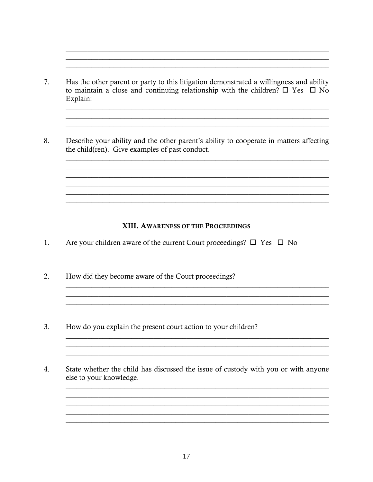Has the other parent or party to this litigation demonstrated a willingness and ability 7. to maintain a close and continuing relationship with the children?  $\square$  Yes  $\square$  No Explain:

and the control of the control of the control of the control of the control of the control of the control of the

<u> 1989 - Johann Stoff, deutscher Stoffen und der Stoffen und der Stoffen und der Stoffen und der Stoffen und d</u>

<u> 1989 - Johann Stoff, amerikansk politiker (d. 1989)</u>

8. Describe your ability and the other parent's ability to cooperate in matters affecting the child(ren). Give examples of past conduct.

### XIII. AWARENESS OF THE PROCEEDINGS

- Are your children aware of the current Court proceedings?  $\Box$  Yes  $\Box$  No  $1_{-}$
- $2.$ How did they become aware of the Court proceedings?
- $3.$ How do you explain the present court action to your children?
- $\overline{4}$ . State whether the child has discussed the issue of custody with you or with anyone else to your knowledge.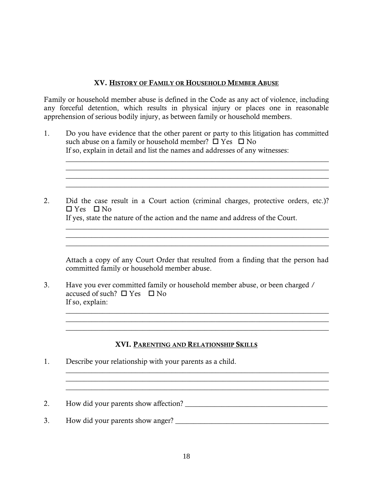#### XV. HISTORY OF FAMILY OR HOUSEHOLD MEMBER ABUSE

Family or household member abuse is defined in the Code as any act of violence, including any forceful detention, which results in physical injury or places one in reasonable apprehension of serious bodily injury, as between family or household members.

1. Do you have evidence that the other parent or party to this litigation has committed such abuse on a family or household member?  $\Box$  Yes  $\Box$  No If so, explain in detail and list the names and addresses of any witnesses:

 $\_$  , and the set of the set of the set of the set of the set of the set of the set of the set of the set of the set of the set of the set of the set of the set of the set of the set of the set of the set of the set of th  $\mathcal{L}_\mathcal{L} = \{ \mathcal{L}_\mathcal{L} = \{ \mathcal{L}_\mathcal{L} = \{ \mathcal{L}_\mathcal{L} = \{ \mathcal{L}_\mathcal{L} = \{ \mathcal{L}_\mathcal{L} = \{ \mathcal{L}_\mathcal{L} = \{ \mathcal{L}_\mathcal{L} = \{ \mathcal{L}_\mathcal{L} = \{ \mathcal{L}_\mathcal{L} = \{ \mathcal{L}_\mathcal{L} = \{ \mathcal{L}_\mathcal{L} = \{ \mathcal{L}_\mathcal{L} = \{ \mathcal{L}_\mathcal{L} = \{ \mathcal{L}_\mathcal{$  $\_$  , and the set of the set of the set of the set of the set of the set of the set of the set of the set of the set of the set of the set of the set of the set of the set of the set of the set of the set of the set of th

 $\_$  ,  $\_$  ,  $\_$  ,  $\_$  ,  $\_$  ,  $\_$  ,  $\_$  ,  $\_$  ,  $\_$  ,  $\_$  ,  $\_$  ,  $\_$  ,  $\_$  ,  $\_$  ,  $\_$  ,  $\_$  ,  $\_$  ,  $\_$  ,  $\_$ 

2. Did the case result in a Court action (criminal charges, protective orders, etc.)?  $\Box$  Yes  $\Box$  No

If yes, state the nature of the action and the name and address of the Court.

Attach a copy of any Court Order that resulted from a finding that the person had committed family or household member abuse.

 $\mathcal{L}_\mathcal{L} = \mathcal{L}_\mathcal{L} = \mathcal{L}_\mathcal{L} = \mathcal{L}_\mathcal{L} = \mathcal{L}_\mathcal{L} = \mathcal{L}_\mathcal{L} = \mathcal{L}_\mathcal{L} = \mathcal{L}_\mathcal{L} = \mathcal{L}_\mathcal{L} = \mathcal{L}_\mathcal{L} = \mathcal{L}_\mathcal{L} = \mathcal{L}_\mathcal{L} = \mathcal{L}_\mathcal{L} = \mathcal{L}_\mathcal{L} = \mathcal{L}_\mathcal{L} = \mathcal{L}_\mathcal{L} = \mathcal{L}_\mathcal{L}$  $\_$  , and the set of the set of the set of the set of the set of the set of the set of the set of the set of the set of the set of the set of the set of the set of the set of the set of the set of the set of the set of th

 $\mathcal{L}_\mathcal{L} = \{ \mathcal{L}_\mathcal{L} = \{ \mathcal{L}_\mathcal{L} = \{ \mathcal{L}_\mathcal{L} = \{ \mathcal{L}_\mathcal{L} = \{ \mathcal{L}_\mathcal{L} = \{ \mathcal{L}_\mathcal{L} = \{ \mathcal{L}_\mathcal{L} = \{ \mathcal{L}_\mathcal{L} = \{ \mathcal{L}_\mathcal{L} = \{ \mathcal{L}_\mathcal{L} = \{ \mathcal{L}_\mathcal{L} = \{ \mathcal{L}_\mathcal{L} = \{ \mathcal{L}_\mathcal{L} = \{ \mathcal{L}_\mathcal{$ 

 $\mathcal{L}_\mathcal{L} = \mathcal{L}_\mathcal{L} = \mathcal{L}_\mathcal{L} = \mathcal{L}_\mathcal{L} = \mathcal{L}_\mathcal{L} = \mathcal{L}_\mathcal{L} = \mathcal{L}_\mathcal{L} = \mathcal{L}_\mathcal{L} = \mathcal{L}_\mathcal{L} = \mathcal{L}_\mathcal{L} = \mathcal{L}_\mathcal{L} = \mathcal{L}_\mathcal{L} = \mathcal{L}_\mathcal{L} = \mathcal{L}_\mathcal{L} = \mathcal{L}_\mathcal{L} = \mathcal{L}_\mathcal{L} = \mathcal{L}_\mathcal{L}$ 

 $\mathcal{L}_\mathcal{L} = \{ \mathcal{L}_\mathcal{L} = \{ \mathcal{L}_\mathcal{L} = \{ \mathcal{L}_\mathcal{L} = \{ \mathcal{L}_\mathcal{L} = \{ \mathcal{L}_\mathcal{L} = \{ \mathcal{L}_\mathcal{L} = \{ \mathcal{L}_\mathcal{L} = \{ \mathcal{L}_\mathcal{L} = \{ \mathcal{L}_\mathcal{L} = \{ \mathcal{L}_\mathcal{L} = \{ \mathcal{L}_\mathcal{L} = \{ \mathcal{L}_\mathcal{L} = \{ \mathcal{L}_\mathcal{L} = \{ \mathcal{L}_\mathcal{$  $\_$  , and the set of the set of the set of the set of the set of the set of the set of the set of the set of the set of the set of the set of the set of the set of the set of the set of the set of the set of the set of th  $\_$  , and the set of the set of the set of the set of the set of the set of the set of the set of the set of the set of the set of the set of the set of the set of the set of the set of the set of the set of the set of th

3. Have you ever committed family or household member abuse, or been charged / accused of such?  $\Box$  Yes  $\Box$  No If so, explain:

### XVI. PARENTING AND RELATIONSHIP SKILLS

- 1. Describe your relationship with your parents as a child.
- 2. How did your parents show affection? \_\_\_\_\_\_\_\_\_\_\_\_\_\_\_\_\_\_\_\_\_\_\_\_\_\_\_\_\_\_\_\_\_\_\_\_\_\_\_
- 3. How did your parents show anger? \_\_\_\_\_\_\_\_\_\_\_\_\_\_\_\_\_\_\_\_\_\_\_\_\_\_\_\_\_\_\_\_\_\_\_\_\_\_\_\_\_\_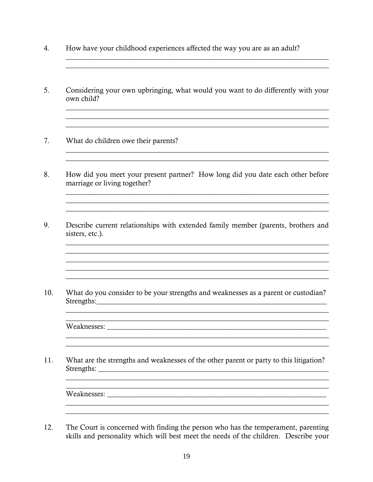- 4. How have your childhood experiences affected the way you are as an adult?
- 5. Considering your own upbringing, what would you want to do differently with your own child?

and the control of the control of the control of the control of the control of the control of the control of the

<u> 1989 - Johann Stoff, amerikansk politiker (d. 1989)</u>

<u> 1989 - Johann Stoff, amerikansk politiker (d. 1989)</u>

and the control of the control of the control of the control of the control of the control of the control of the

<u> 1980 - Johann Barn, amerikan besteman besteman besteman besteman besteman besteman besteman besteman bestema</u>

<u> 1989 - Johann Stoff, amerikansk politiker (d. 1989)</u>

<u> 1989 - Jan Samuel Barbara, margaret eta idazlea (h. 1989).</u>

- $7.$ What do children owe their parents?
- 8. How did you meet your present partner? How long did you date each other before marriage or living together?
- Describe current relationships with extended family member (parents, brothers and 9. sisters, etc.).

 $10<sup>-10</sup>$ What do you consider to be your strengths and weaknesses as a parent or custodian? Strengths: North Contract Contract Contract Contract Contract Contract Contract Contract Contract Contract Contract Contract Contract Contract Contract Contract Contract Contract Contract Contract Contract Contract Contrac

Weaknesses: with a state of the state of the state of the state of the state of the state of the state of the state of the state of the state of the state of the state of the state of the state of the state of the state of

What are the strengths and weaknesses of the other parent or party to this litigation?  $11<sub>1</sub>$ 

 $12.$ The Court is concerned with finding the person who has the temperament, parenting skills and personality which will best meet the needs of the children. Describe your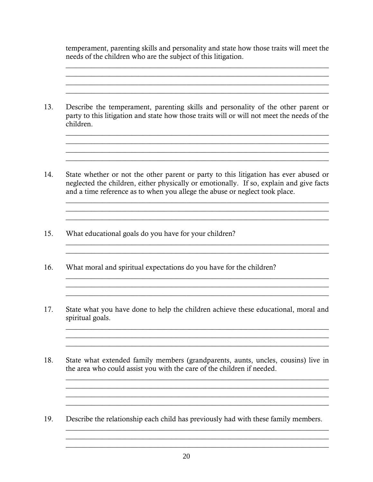temperament, parenting skills and personality and state how those traits will meet the needs of the children who are the subject of this litigation.

 $\_$  , and the set of the set of the set of the set of the set of the set of the set of the set of the set of the set of the set of the set of the set of the set of the set of the set of the set of the set of the set of th

\_\_\_\_\_\_\_\_\_\_\_\_\_\_\_\_\_\_\_\_\_\_\_\_\_\_\_\_\_\_\_\_\_\_\_\_\_\_\_\_\_\_\_\_\_\_\_\_\_\_\_\_\_\_\_\_\_\_\_\_\_\_\_\_\_\_\_\_\_\_\_\_

13. Describe the temperament, parenting skills and personality of the other parent or party to this litigation and state how those traits will or will not meet the needs of the children.

 $\_$  , and the set of the set of the set of the set of the set of the set of the set of the set of the set of the set of the set of the set of the set of the set of the set of the set of the set of the set of the set of th

 $\mathcal{L}_\mathcal{L} = \mathcal{L}_\mathcal{L} = \mathcal{L}_\mathcal{L} = \mathcal{L}_\mathcal{L} = \mathcal{L}_\mathcal{L} = \mathcal{L}_\mathcal{L} = \mathcal{L}_\mathcal{L} = \mathcal{L}_\mathcal{L} = \mathcal{L}_\mathcal{L} = \mathcal{L}_\mathcal{L} = \mathcal{L}_\mathcal{L} = \mathcal{L}_\mathcal{L} = \mathcal{L}_\mathcal{L} = \mathcal{L}_\mathcal{L} = \mathcal{L}_\mathcal{L} = \mathcal{L}_\mathcal{L} = \mathcal{L}_\mathcal{L}$  $\_$  , and the set of the set of the set of the set of the set of the set of the set of the set of the set of the set of the set of the set of the set of the set of the set of the set of the set of the set of the set of th

 $\mathcal{L}_\mathcal{L} = \mathcal{L}_\mathcal{L} = \mathcal{L}_\mathcal{L} = \mathcal{L}_\mathcal{L} = \mathcal{L}_\mathcal{L} = \mathcal{L}_\mathcal{L} = \mathcal{L}_\mathcal{L} = \mathcal{L}_\mathcal{L} = \mathcal{L}_\mathcal{L} = \mathcal{L}_\mathcal{L} = \mathcal{L}_\mathcal{L} = \mathcal{L}_\mathcal{L} = \mathcal{L}_\mathcal{L} = \mathcal{L}_\mathcal{L} = \mathcal{L}_\mathcal{L} = \mathcal{L}_\mathcal{L} = \mathcal{L}_\mathcal{L}$  $\mathcal{L}_\text{max}$  and  $\mathcal{L}_\text{max}$  and  $\mathcal{L}_\text{max}$  and  $\mathcal{L}_\text{max}$  and  $\mathcal{L}_\text{max}$ 

 $\mathcal{L}_\text{max}$  and  $\mathcal{L}_\text{max}$  and  $\mathcal{L}_\text{max}$  and  $\mathcal{L}_\text{max}$  and  $\mathcal{L}_\text{max}$ 

 $\mathcal{L}_\mathcal{L} = \mathcal{L}_\mathcal{L} = \mathcal{L}_\mathcal{L} = \mathcal{L}_\mathcal{L} = \mathcal{L}_\mathcal{L} = \mathcal{L}_\mathcal{L} = \mathcal{L}_\mathcal{L} = \mathcal{L}_\mathcal{L} = \mathcal{L}_\mathcal{L} = \mathcal{L}_\mathcal{L} = \mathcal{L}_\mathcal{L} = \mathcal{L}_\mathcal{L} = \mathcal{L}_\mathcal{L} = \mathcal{L}_\mathcal{L} = \mathcal{L}_\mathcal{L} = \mathcal{L}_\mathcal{L} = \mathcal{L}_\mathcal{L}$  $\mathcal{L}_\mathcal{L} = \{ \mathcal{L}_\mathcal{L} = \{ \mathcal{L}_\mathcal{L} = \{ \mathcal{L}_\mathcal{L} = \{ \mathcal{L}_\mathcal{L} = \{ \mathcal{L}_\mathcal{L} = \{ \mathcal{L}_\mathcal{L} = \{ \mathcal{L}_\mathcal{L} = \{ \mathcal{L}_\mathcal{L} = \{ \mathcal{L}_\mathcal{L} = \{ \mathcal{L}_\mathcal{L} = \{ \mathcal{L}_\mathcal{L} = \{ \mathcal{L}_\mathcal{L} = \{ \mathcal{L}_\mathcal{L} = \{ \mathcal{L}_\mathcal{$ 

14. State whether or not the other parent or party to this litigation has ever abused or neglected the children, either physically or emotionally. If so, explain and give facts and a time reference as to when you allege the abuse or neglect took place.

> $\mathcal{L}_\text{max}$  and  $\mathcal{L}_\text{max}$  and  $\mathcal{L}_\text{max}$  and  $\mathcal{L}_\text{max}$  and  $\mathcal{L}_\text{max}$  and  $\mathcal{L}_\text{max}$ \_\_\_\_\_\_\_\_\_\_\_\_\_\_\_\_\_\_\_\_\_\_\_\_\_\_\_\_\_\_\_\_\_\_\_\_\_\_\_\_\_\_\_\_\_\_\_\_\_\_\_\_\_\_\_\_\_\_\_\_\_\_\_\_\_\_\_\_\_\_\_\_

- 15. What educational goals do you have for your children?
- 16. What moral and spiritual expectations do you have for the children?
- 17. State what you have done to help the children achieve these educational, moral and spiritual goals.

 $\_$  , and the set of the set of the set of the set of the set of the set of the set of the set of the set of the set of the set of the set of the set of the set of the set of the set of the set of the set of the set of th  $\_$  , and the set of the set of the set of the set of the set of the set of the set of the set of the set of the set of the set of the set of the set of the set of the set of the set of the set of the set of the set of th

18. State what extended family members (grandparents, aunts, uncles, cousins) live in the area who could assist you with the care of the children if needed.

 $\_$  , and the set of the set of the set of the set of the set of the set of the set of the set of the set of the set of the set of the set of the set of the set of the set of the set of the set of the set of the set of th  $\mathcal{L}_\mathcal{L} = \mathcal{L}_\mathcal{L} = \mathcal{L}_\mathcal{L} = \mathcal{L}_\mathcal{L} = \mathcal{L}_\mathcal{L} = \mathcal{L}_\mathcal{L} = \mathcal{L}_\mathcal{L} = \mathcal{L}_\mathcal{L} = \mathcal{L}_\mathcal{L} = \mathcal{L}_\mathcal{L} = \mathcal{L}_\mathcal{L} = \mathcal{L}_\mathcal{L} = \mathcal{L}_\mathcal{L} = \mathcal{L}_\mathcal{L} = \mathcal{L}_\mathcal{L} = \mathcal{L}_\mathcal{L} = \mathcal{L}_\mathcal{L}$  $\mathcal{L}_\mathcal{L} = \mathcal{L}_\mathcal{L} = \mathcal{L}_\mathcal{L} = \mathcal{L}_\mathcal{L} = \mathcal{L}_\mathcal{L} = \mathcal{L}_\mathcal{L} = \mathcal{L}_\mathcal{L} = \mathcal{L}_\mathcal{L} = \mathcal{L}_\mathcal{L} = \mathcal{L}_\mathcal{L} = \mathcal{L}_\mathcal{L} = \mathcal{L}_\mathcal{L} = \mathcal{L}_\mathcal{L} = \mathcal{L}_\mathcal{L} = \mathcal{L}_\mathcal{L} = \mathcal{L}_\mathcal{L} = \mathcal{L}_\mathcal{L}$  $\_$  , and the set of the set of the set of the set of the set of the set of the set of the set of the set of the set of the set of the set of the set of the set of the set of the set of the set of the set of the set of th

 $\_$  , and the set of the set of the set of the set of the set of the set of the set of the set of the set of the set of the set of the set of the set of the set of the set of the set of the set of the set of the set of th  $\_$  , and the set of the set of the set of the set of the set of the set of the set of the set of the set of the set of the set of the set of the set of the set of the set of the set of the set of the set of the set of th  $\_$  , and the set of the set of the set of the set of the set of the set of the set of the set of the set of the set of the set of the set of the set of the set of the set of the set of the set of the set of the set of th

19. Describe the relationship each child has previously had with these family members.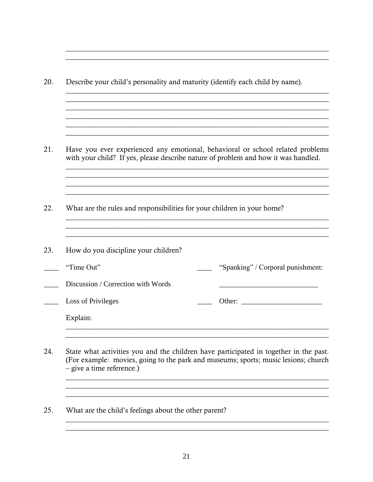20. Describe your child's personality and maturity (identify each child by name). 21. Have you ever experienced any emotional, behavioral or school related problems with your child? If yes, please describe nature of problem and how it was handled. <u> 1989 - Johann Stoff, amerikansk politiker (d. 1989)</u> 22. What are the rules and responsibilities for your children in your home? 23. How do you discipline your children? "Time Out" "Spanking" / Corporal punishment: Discussion / Correction with Words **Loss of Privileges**  $\frac{1}{\sqrt{1-\frac{1}{2}}}\frac{1}{\sqrt{1-\frac{1}{2}}}\frac{1}{\sqrt{1-\frac{1}{2}}}\frac{1}{\sqrt{1-\frac{1}{2}}}\frac{1}{\sqrt{1-\frac{1}{2}}}\frac{1}{\sqrt{1-\frac{1}{2}}}\frac{1}{\sqrt{1-\frac{1}{2}}}\frac{1}{\sqrt{1-\frac{1}{2}}}\frac{1}{\sqrt{1-\frac{1}{2}}}\frac{1}{\sqrt{1-\frac{1}{2}}}\frac{1}{\sqrt{1-\frac{1}{2}}}\frac{1}{\sqrt{1-\frac{1}{2}}}\frac{1}{\sqrt{1-\frac{1}{2}}}\frac{1}{\sqrt{1-\frac{$ Explain: 

- 24. State what activities you and the children have participated in together in the past. (For example: movies, going to the park and museums; sports; music lesions; church  $-$  give a time reference.)
- 25. What are the child's feelings about the other parent?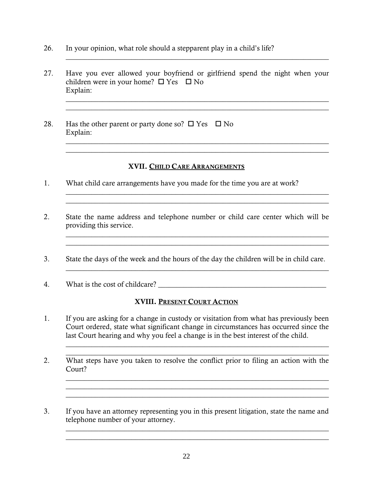- 26. In your opinion, what role should a stepparent play in a child's life?
- 27. Have you ever allowed your boyfriend or girlfriend spend the night when your children were in your home?  $\Box$  Yes  $\Box$  No Explain:

 $\_$  , and the set of the set of the set of the set of the set of the set of the set of the set of the set of the set of the set of the set of the set of the set of the set of the set of the set of the set of the set of th

 $\_$  , and the set of the set of the set of the set of the set of the set of the set of the set of the set of the set of the set of the set of the set of the set of the set of the set of the set of the set of the set of th  $\_$  , and the set of the set of the set of the set of the set of the set of the set of the set of the set of the set of the set of the set of the set of the set of the set of the set of the set of the set of the set of th

 $\_$  , and the set of the set of the set of the set of the set of the set of the set of the set of the set of the set of the set of the set of the set of the set of the set of the set of the set of the set of the set of th  $\_$  . The contribution of the contribution of the contribution of the contribution of  $\mathcal{L}_\mathbf{C}$ 

 $\_$  , and the set of the set of the set of the set of the set of the set of the set of the set of the set of the set of the set of the set of the set of the set of the set of the set of the set of the set of the set of th

 $\_$  , and the set of the set of the set of the set of the set of the set of the set of the set of the set of the set of the set of the set of the set of the set of the set of the set of the set of the set of the set of th

 $\_$  , and the set of the set of the set of the set of the set of the set of the set of the set of the set of the set of the set of the set of the set of the set of the set of the set of the set of the set of the set of th

28. Has the other parent or party done so?  $\Box$  Yes  $\Box$  No Explain:

### XVII. CHILD CARE ARRANGEMENTS

- 1. What child care arrangements have you made for the time you are at work?
- 2. State the name address and telephone number or child care center which will be providing this service.  $\mathcal{L}_\text{max}$  and  $\mathcal{L}_\text{max}$  and  $\mathcal{L}_\text{max}$  and  $\mathcal{L}_\text{max}$  and  $\mathcal{L}_\text{max}$  and  $\mathcal{L}_\text{max}$
- 3. State the days of the week and the hours of the day the children will be in child care.
- 4. What is the cost of childcare?

### XVIII. PRESENT COURT ACTION

1. If you are asking for a change in custody or visitation from what has previously been Court ordered, state what significant change in circumstances has occurred since the last Court hearing and why you feel a change is in the best interest of the child.

 $\_$  , and the set of the set of the set of the set of the set of the set of the set of the set of the set of the set of the set of the set of the set of the set of the set of the set of the set of the set of the set of th  $\_$  , and the set of the set of the set of the set of the set of the set of the set of the set of the set of the set of the set of the set of the set of the set of the set of the set of the set of the set of the set of th

 $\_$  , and the set of the set of the set of the set of the set of the set of the set of the set of the set of the set of the set of the set of the set of the set of the set of the set of the set of the set of the set of th  $\_$  , and the set of the set of the set of the set of the set of the set of the set of the set of the set of the set of the set of the set of the set of the set of the set of the set of the set of the set of the set of th

 $\_$  , and the set of the set of the set of the set of the set of the set of the set of the set of the set of the set of the set of the set of the set of the set of the set of the set of the set of the set of the set of th  $\_$  , and the set of the set of the set of the set of the set of the set of the set of the set of the set of the set of the set of the set of the set of the set of the set of the set of the set of the set of the set of th

- 2. What steps have you taken to resolve the conflict prior to filing an action with the Court?
- 3. If you have an attorney representing you in this present litigation, state the name and telephone number of your attorney.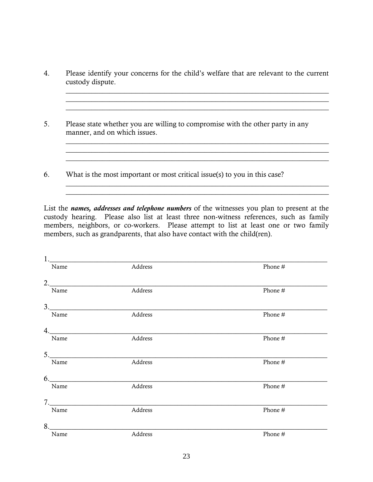4. Please identify your concerns for the child's welfare that are relevant to the current custody dispute.

 $\_$  . The contribution of the contribution of the contribution of the contribution of  $\mathcal{L}_\mathcal{A}$ 

 $\_$  , and the set of the set of the set of the set of the set of the set of the set of the set of the set of the set of the set of the set of the set of the set of the set of the set of the set of the set of the set of th

 $\_$  , and the set of the set of the set of the set of the set of the set of the set of the set of the set of the set of the set of the set of the set of the set of the set of the set of the set of the set of the set of th  $\mathcal{L}_\text{max}$  , and the set of the set of the set of the set of the set of the set of the set of the set of the set of  $\_$  , and the set of the set of the set of the set of the set of the set of the set of the set of the set of the set of the set of the set of the set of the set of the set of the set of the set of the set of the set of th

 $\_$  , and the set of the set of the set of the set of the set of the set of the set of the set of the set of the set of the set of the set of the set of the set of the set of the set of the set of the set of the set of th

 $\overline{\phantom{a}}$  , and the contract of the contract of the contract of the contract of the contract of the contract of the contract of the contract of the contract of the contract of the contract of the contract of the contrac

- 5. Please state whether you are willing to compromise with the other party in any manner, and on which issues.
- 6. What is the most important or most critical issue(s) to you in this case?

List the *names, addresses and telephone numbers* of the witnesses you plan to present at the custody hearing. Please also list at least three non-witness references, such as family members, neighbors, or co-workers. Please attempt to list at least one or two family members, such as grandparents, that also have contact with the child(ren).

| 1    |         |         |
|------|---------|---------|
| Name | Address | Phone # |
| 2.   |         |         |
| Name | Address | Phone # |
| 3.   |         |         |
| Name | Address | Phone # |
| 4.   |         |         |
| Name | Address | Phone # |
| 5.   |         |         |
| Name | Address | Phone # |
| 6.   |         |         |
| Name | Address | Phone # |
| 7.   |         |         |
| Name | Address | Phone # |
|      |         |         |
| Name | Address | Phone # |